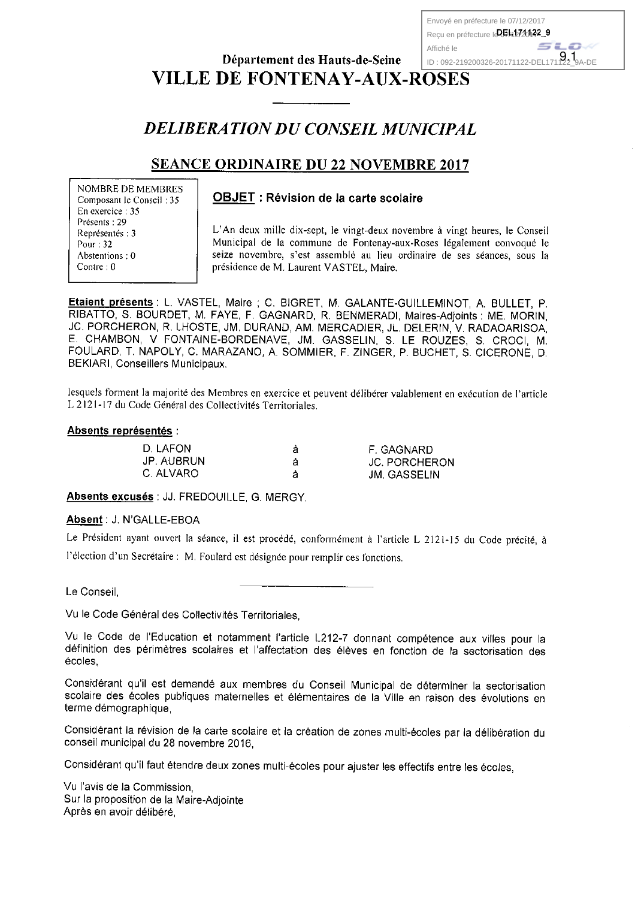Envové en préfecture le 07/12/2017 Reçu en préfecture le 05412741422 9 Affiché le ID: 092-219200326-20171122-DEL171122 $\overline{9}$ A-DE

# Département des Hauts-de-Seine **VILLE DE FONTENAY-AUX-ROSES**

# **DELIBERATION DU CONSEIL MUNICIPAL**

# **SEANCE ORDINAIRE DU 22 NOVEMBRE 2017**

**NOMBRE DE MEMBRES** Composant le Conseil : 35 En exercice: 35 Présents: 29 Représentés : 3 Pour: 32 Abstentions: 0 Contre: 0

## **OBJET: Révision de la carte scolaire**

L'An deux mille dix-sept, le vingt-deux novembre à vingt heures, le Conseil Municipal de la commune de Fontenay-aux-Roses légalement convoqué le seize novembre, s'est assemblé au lieu ordinaire de ses séances, sous la présidence de M. Laurent VASTEL, Maire.

**Etaient présents : L. VASTEL, Maire : C. BIGRET, M. GALANTE-GUILLEMINOT, A. BULLET, P.** RIBATTO, S. BOURDET, M. FAYE, F. GAGNARD, R. BENMERADI, Maires-Adjoints : ME. MORIN. JC. PORCHERON, R. LHOSTE, JM. DURAND, AM. MERCADIER, JL. DELERIN, V. RADAOARISOA, E. CHAMBON, V FONTAINE-BORDENAVE, JM. GASSELIN, S. LE ROUZES, S. CROCI, M. FOULARD, T. NAPOLY, C. MARAZANO, A. SOMMIER, F. ZINGER, P. BUCHET, S. CICERONE, D. BEKIARI, Conseillers Municipaux.

lesquels forment la majorité des Membres en exercice et peuvent délibérer valablement en exécution de l'article L 2121-17 du Code Général des Collectivités Territoriales

### Absents représentés :

| D. LAFON  | F. GAGNARD           |
|-----------|----------------------|
| JP AUBRUN | <b>JC. PORCHERON</b> |
| C. ALVARO | JM. GASSELIN         |

Absents excusés : JJ. FREDOUILLE, G. MERGY.

## Absent: J. N'GALLE-EBOA

Le Président ayant ouvert la séance, il est procédé, conformément à l'article L 2121-15 du Code précité, à l'élection d'un Secrétaire : M. Foulard est désignée pour remplir ces fonctions.

Le Conseil.

Vu le Code Général des Collectivités Territoriales.

Vu le Code de l'Education et notamment l'article L212-7 donnant compétence aux villes pour la définition des périmètres scolaires et l'affectation des élèves en fonction de la sectorisation des écoles.

Considérant qu'il est demandé aux membres du Conseil Municipal de déterminer la sectorisation scolaire des écoles publiques maternelles et élémentaires de la Ville en raison des évolutions en terme démographique,

Considérant la révision de la carte scolaire et la création de zones multi-écoles par la délibération du conseil municipal du 28 novembre 2016.

Considérant qu'il faut étendre deux zones multi-écoles pour ajuster les effectifs entre les écoles,

Vu l'avis de la Commission, Sur la proposition de la Maire-Adjointe Après en avoir délibéré,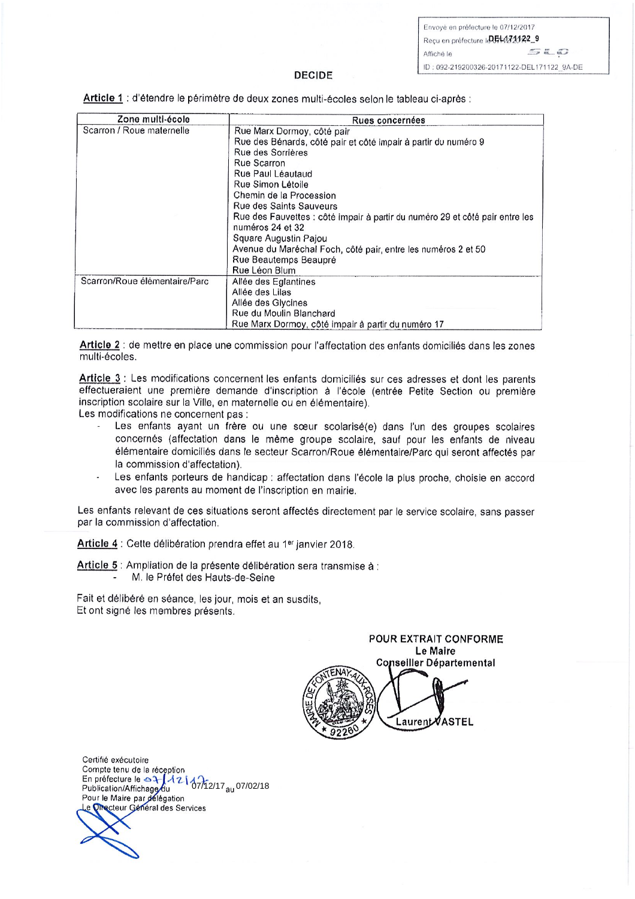Envoyé en préfecture le 07/12/2017 Recu en préfecture IDEL172022\_9  $520$ Affiché le ID: 092-219200326-20171122-DEL171122 9A-DE

#### **DECIDE**

Article 1 : d'étendre le périmètre de deux zones multi-écoles selon le tableau ci-après :

| Zone multi-école              | Rues concernées                                                              |  |
|-------------------------------|------------------------------------------------------------------------------|--|
| Scarron / Roue maternelle     | Rue Marx Dormoy, côté pair                                                   |  |
|                               | Rue des Bénards, côté pair et côté impair à partir du numéro 9               |  |
|                               | Rue des Sorrières                                                            |  |
|                               | Rue Scarron                                                                  |  |
|                               | Rue Paul Léautaud                                                            |  |
|                               | Rue Simon Létoile                                                            |  |
|                               | Chemin de la Procession                                                      |  |
|                               | Rue des Saints Sauveurs                                                      |  |
|                               | Rue des Fauvettes : côté impair à partir du numéro 29 et côté pair entre les |  |
|                               | numéros 24 et 32                                                             |  |
|                               | Square Augustin Pajou                                                        |  |
|                               | Avenue du Maréchal Foch, côté pair, entre les numéros 2 et 50                |  |
|                               | Rue Beautemps Beaupré                                                        |  |
|                               | Rue Léon Blum                                                                |  |
| Scarron/Roue élémentaire/Parc | Allée des Eglantines                                                         |  |
|                               | Allée des Lilas                                                              |  |
|                               | Allée des Glycines                                                           |  |
|                               | Rue du Moulin Blanchard                                                      |  |
|                               | Rue Marx Dormoy, côté impair à partir du numéro 17                           |  |

Article 2 : de mettre en place une commission pour l'affectation des enfants domiciliés dans les zones multi-écoles.

Article 3 : Les modifications concernent les enfants domiciliés sur ces adresses et dont les parents effectueraient une première demande d'inscription à l'école (entrée Petite Section ou première inscription scolaire sur la Ville, en maternelle ou en élémentaire).

Les modifications ne concernent pas :

- Les enfants ayant un frère ou une sœur scolarisé(e) dans l'un des groupes scolaires concernés (affectation dans le même groupe scolaire, sauf pour les enfants de niveau élémentaire domiciliés dans le secteur Scarron/Roue élémentaire/Parc qui seront affectés par la commission d'affectation).
- Les enfants porteurs de handicap : affectation dans l'école la plus proche, choisie en accord avec les parents au moment de l'inscription en mairie.

Les enfants relevant de ces situations seront affectés directement par le service scolaire, sans passer par la commission d'affectation.

Article 4 : Cette délibération prendra effet au 1er janvier 2018.

Article 5 : Ampliation de la présente délibération sera transmise à : M. le Préfet des Hauts-de-Seine

Fait et délibéré en séance, les jour, mois et an susdits, Et ont signé les membres présents.

POUR EXTRAIT CONFORME Le Maire **Conseiller Départemental** Laurent VASTEL

Certifié exécutoire Compte tenu de la réception En préfecture le <del>63 (12)</del><br>En préfecture le <del>63 (12)</del><br>Publication/Affichage du<br>Pour le Maire par délégation<br>Le *Quecteur Général* des Services